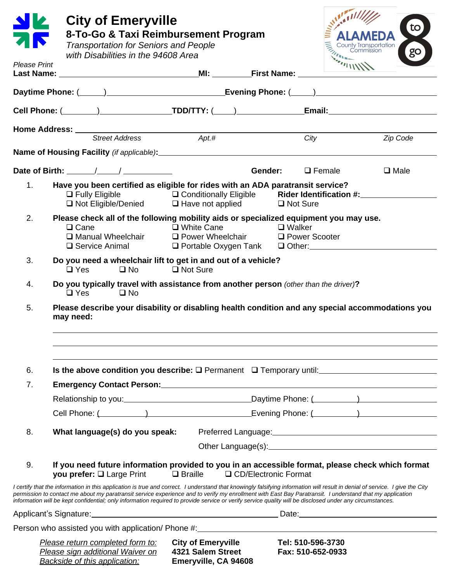|                     | <b>City of Emeryville</b><br><b>Transportation for Seniors and People</b><br>with Disabilities in the 94608 Area                                                                                                                                                                                                                                                                                                                                                                                     | 8-To-Go & Taxi Reimbursement Program                                                                                              |                                        | to<br>go    |
|---------------------|------------------------------------------------------------------------------------------------------------------------------------------------------------------------------------------------------------------------------------------------------------------------------------------------------------------------------------------------------------------------------------------------------------------------------------------------------------------------------------------------------|-----------------------------------------------------------------------------------------------------------------------------------|----------------------------------------|-------------|
| <b>Please Print</b> |                                                                                                                                                                                                                                                                                                                                                                                                                                                                                                      |                                                                                                                                   |                                        |             |
|                     | Daytime Phone: (Champion Communication of System Evening Phone: (Champion Communication Communication of Daytime Phone: (Champion Communication Communication Communication Communication Communication Communication Communic                                                                                                                                                                                                                                                                       |                                                                                                                                   |                                        |             |
|                     |                                                                                                                                                                                                                                                                                                                                                                                                                                                                                                      |                                                                                                                                   |                                        |             |
|                     |                                                                                                                                                                                                                                                                                                                                                                                                                                                                                                      |                                                                                                                                   |                                        |             |
|                     |                                                                                                                                                                                                                                                                                                                                                                                                                                                                                                      |                                                                                                                                   | City                                   | Zip Code    |
|                     |                                                                                                                                                                                                                                                                                                                                                                                                                                                                                                      |                                                                                                                                   |                                        |             |
|                     |                                                                                                                                                                                                                                                                                                                                                                                                                                                                                                      |                                                                                                                                   | Gender:<br>$\Box$ Female               | $\Box$ Male |
| 1.                  | Have you been certified as eligible for rides with an ADA paratransit service?<br>$\Box$ Fully Eligible                                                                                                                                                                                                                                                                                                                                                                                              | □ Conditionally Eligible Rider Identification #:___________<br>$\Box$ Not Eligible/Denied $\Box$ Have not applied $\Box$ Not Sure |                                        |             |
| 2.                  | Please check all of the following mobility aids or specialized equipment you may use.<br>$\Box$ Cane<br>$\Box$ Service Animal                                                                                                                                                                                                                                                                                                                                                                        | <b>Example 1 White Cane</b><br>□ Manual Wheelchair □ Power Wheelchair □ Power Scooter<br>O Portable Oxygen Tank O Other: 2001     | D Walker                               |             |
| 3.                  | Do you need a wheelchair lift to get in and out of a vehicle?<br>$\square$ No<br>□ Not Sure<br>$\Box$ Yes                                                                                                                                                                                                                                                                                                                                                                                            |                                                                                                                                   |                                        |             |
| 4.                  | Do you typically travel with assistance from another person (other than the driver)?<br>$\Box$ Yes<br>$\square$ No                                                                                                                                                                                                                                                                                                                                                                                   |                                                                                                                                   |                                        |             |
| 5.                  | Please describe your disability or disabling health condition and any special accommodations you<br>may need:                                                                                                                                                                                                                                                                                                                                                                                        |                                                                                                                                   |                                        |             |
| 6.                  | Is the above condition you describe: $\square$ Permanent $\square$ Temporary until: $\blacksquare$                                                                                                                                                                                                                                                                                                                                                                                                   |                                                                                                                                   |                                        |             |
| 7.                  | Emergency Contact Person: National Contract Design of the Contract of the Contract Oriental Contract of the Co                                                                                                                                                                                                                                                                                                                                                                                       |                                                                                                                                   |                                        |             |
|                     |                                                                                                                                                                                                                                                                                                                                                                                                                                                                                                      |                                                                                                                                   |                                        |             |
|                     | Cell Phone: (Call Phone: (Call Phone: (Call Phone: (Call Phone: (Call Phone: (Call Phone: (Call Phone: (Call Phone: (Call Phone: Call Phone: (Call Phone: Call Phone: Call Phone: Call Phone: Call Phone: Call Phone: Call Pho                                                                                                                                                                                                                                                                       |                                                                                                                                   |                                        |             |
| 8.                  | What language(s) do you speak:                                                                                                                                                                                                                                                                                                                                                                                                                                                                       |                                                                                                                                   |                                        |             |
|                     |                                                                                                                                                                                                                                                                                                                                                                                                                                                                                                      |                                                                                                                                   |                                        |             |
| 9.                  | If you need future information provided to you in an accessible format, please check which format<br>you prefer: Q Large Print                                                                                                                                                                                                                                                                                                                                                                       | $\Box$ Braille                                                                                                                    | □ CD/Electronic Format                 |             |
|                     | I certify that the information in this application is true and correct. I understand that knowingly falsifying information will result in denial of service. I give the City<br>permission to contact me about my paratransit service experience and to verify my enrollment with East Bay Paratransit. I understand that my application<br>information will be kept confidential; only information required to provide service or verify service quality will be disclosed under any circumstances. |                                                                                                                                   |                                        |             |
|                     |                                                                                                                                                                                                                                                                                                                                                                                                                                                                                                      |                                                                                                                                   |                                        |             |
|                     | Person who assisted you with application/ Phone #: _____________________________                                                                                                                                                                                                                                                                                                                                                                                                                     |                                                                                                                                   |                                        |             |
|                     | Please return completed form to:<br>Please sign additional Waiver on                                                                                                                                                                                                                                                                                                                                                                                                                                 | <b>City of Emeryville</b><br>4321 Salem Street                                                                                    | Tel: 510-596-3730<br>Fax: 510-652-0933 |             |

*Backside of this application:* **Emeryville, CA 94608**